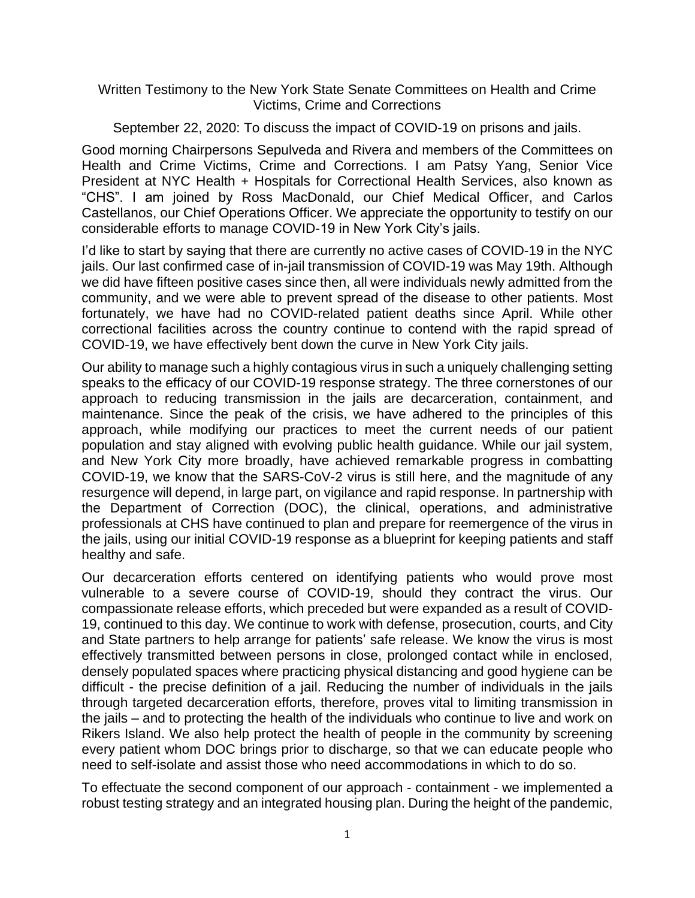## Written Testimony to the New York State Senate Committees on Health and Crime Victims, Crime and Corrections

September 22, 2020: To discuss the impact of COVID-19 on prisons and jails.

Good morning Chairpersons Sepulveda and Rivera and members of the Committees on Health and Crime Victims, Crime and Corrections. I am Patsy Yang, Senior Vice President at NYC Health + Hospitals for Correctional Health Services, also known as "CHS". I am joined by Ross MacDonald, our Chief Medical Officer, and Carlos Castellanos, our Chief Operations Officer. We appreciate the opportunity to testify on our considerable efforts to manage COVID-19 in New York City's jails.

I'd like to start by saying that there are currently no active cases of COVID-19 in the NYC jails. Our last confirmed case of in-jail transmission of COVID-19 was May 19th. Although we did have fifteen positive cases since then, all were individuals newly admitted from the community, and we were able to prevent spread of the disease to other patients. Most fortunately, we have had no COVID-related patient deaths since April. While other correctional facilities across the country continue to contend with the rapid spread of COVID-19, we have effectively bent down the curve in New York City jails.

Our ability to manage such a highly contagious virus in such a uniquely challenging setting speaks to the efficacy of our COVID-19 response strategy. The three cornerstones of our approach to reducing transmission in the jails are decarceration, containment, and maintenance. Since the peak of the crisis, we have adhered to the principles of this approach, while modifying our practices to meet the current needs of our patient population and stay aligned with evolving public health guidance. While our jail system, and New York City more broadly, have achieved remarkable progress in combatting COVID-19, we know that the SARS-CoV-2 virus is still here, and the magnitude of any resurgence will depend, in large part, on vigilance and rapid response. In partnership with the Department of Correction (DOC), the clinical, operations, and administrative professionals at CHS have continued to plan and prepare for reemergence of the virus in the jails, using our initial COVID-19 response as a blueprint for keeping patients and staff healthy and safe.

Our decarceration efforts centered on identifying patients who would prove most vulnerable to a severe course of COVID-19, should they contract the virus. Our compassionate release efforts, which preceded but were expanded as a result of COVID-19, continued to this day. We continue to work with defense, prosecution, courts, and City and State partners to help arrange for patients' safe release. We know the virus is most effectively transmitted between persons in close, prolonged contact while in enclosed, densely populated spaces where practicing physical distancing and good hygiene can be difficult - the precise definition of a jail. Reducing the number of individuals in the jails through targeted decarceration efforts, therefore, proves vital to limiting transmission in the jails – and to protecting the health of the individuals who continue to live and work on Rikers Island. We also help protect the health of people in the community by screening every patient whom DOC brings prior to discharge, so that we can educate people who need to self-isolate and assist those who need accommodations in which to do so.

To effectuate the second component of our approach - containment - we implemented a robust testing strategy and an integrated housing plan. During the height of the pandemic,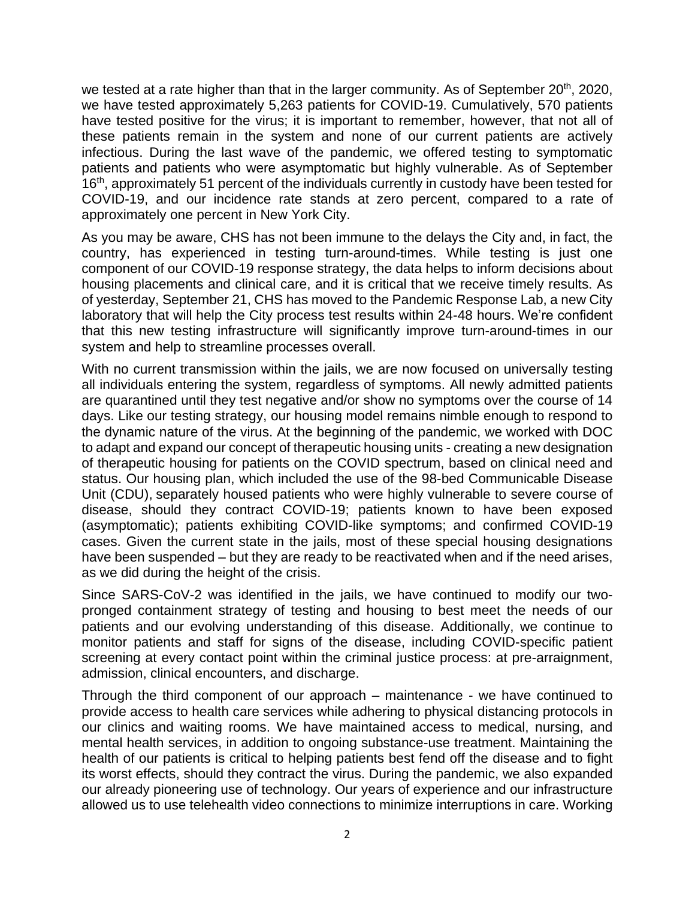we tested at a rate higher than that in the larger community. As of September 20<sup>th</sup>, 2020, we have tested approximately 5,263 patients for COVID-19. Cumulatively, 570 patients have tested positive for the virus; it is important to remember, however, that not all of these patients remain in the system and none of our current patients are actively infectious. During the last wave of the pandemic, we offered testing to symptomatic patients and patients who were asymptomatic but highly vulnerable. As of September 16<sup>th</sup>, approximately 51 percent of the individuals currently in custody have been tested for COVID-19, and our incidence rate stands at zero percent, compared to a rate of approximately one percent in New York City.

As you may be aware, CHS has not been immune to the delays the City and, in fact, the country, has experienced in testing turn-around-times. While testing is just one component of our COVID-19 response strategy, the data helps to inform decisions about housing placements and clinical care, and it is critical that we receive timely results. As of yesterday, September 21, CHS has moved to the Pandemic Response Lab, a new City laboratory that will help the City process test results within 24-48 hours. We're confident that this new testing infrastructure will significantly improve turn-around-times in our system and help to streamline processes overall.

With no current transmission within the jails, we are now focused on universally testing all individuals entering the system, regardless of symptoms. All newly admitted patients are quarantined until they test negative and/or show no symptoms over the course of 14 days. Like our testing strategy, our housing model remains nimble enough to respond to the dynamic nature of the virus. At the beginning of the pandemic, we worked with DOC to adapt and expand our concept of therapeutic housing units - creating a new designation of therapeutic housing for patients on the COVID spectrum, based on clinical need and status. Our housing plan, which included the use of the 98-bed Communicable Disease Unit (CDU), separately housed patients who were highly vulnerable to severe course of disease, should they contract COVID-19; patients known to have been exposed (asymptomatic); patients exhibiting COVID-like symptoms; and confirmed COVID-19 cases. Given the current state in the jails, most of these special housing designations have been suspended – but they are ready to be reactivated when and if the need arises, as we did during the height of the crisis.

Since SARS-CoV-2 was identified in the jails, we have continued to modify our twopronged containment strategy of testing and housing to best meet the needs of our patients and our evolving understanding of this disease. Additionally, we continue to monitor patients and staff for signs of the disease, including COVID-specific patient screening at every contact point within the criminal justice process: at pre-arraignment, admission, clinical encounters, and discharge.

Through the third component of our approach – maintenance - we have continued to provide access to health care services while adhering to physical distancing protocols in our clinics and waiting rooms. We have maintained access to medical, nursing, and mental health services, in addition to ongoing substance-use treatment. Maintaining the health of our patients is critical to helping patients best fend off the disease and to fight its worst effects, should they contract the virus. During the pandemic, we also expanded our already pioneering use of technology. Our years of experience and our infrastructure allowed us to use telehealth video connections to minimize interruptions in care. Working